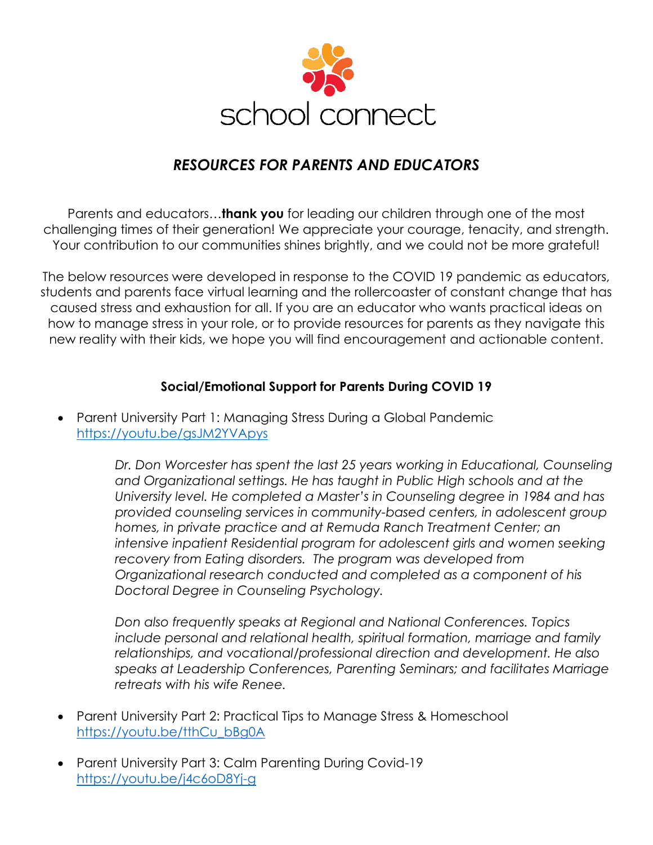

## *RESOURCES FOR PARENTS AND EDUCATORS*

Parents and educators…**thank you** for leading our children through one of the most challenging times of their generation! We appreciate your courage, tenacity, and strength. Your contribution to our communities shines brightly, and we could not be more grateful!

The below resources were developed in response to the COVID 19 pandemic as educators, students and parents face virtual learning and the rollercoaster of constant change that has caused stress and exhaustion for all. If you are an educator who wants practical ideas on how to manage stress in your role, or to provide resources for parents as they navigate this new reality with their kids, we hope you will find encouragement and actionable content.

## **Social/Emotional Support for Parents During COVID 19**

• Parent University Part 1: Managing Stress During a Global Pandemic <https://youtu.be/gsJM2YVApys>

> *Dr. Don Worcester has spent the last 25 years working in Educational, Counseling and Organizational settings. He has taught in Public High schools and at the University level. He completed a Master's in Counseling degree in 1984 and has provided counseling services in community-based centers, in adolescent group homes, in private practice and at Remuda Ranch Treatment Center; an*  intensive inpatient Residential program for adolescent girls and women seeking *recovery from Eating disorders. The program was developed from Organizational research conducted and completed as a component of his Doctoral Degree in Counseling Psychology.*

> *Don also frequently speaks at Regional and National Conferences. Topics include personal and relational health, spiritual formation, marriage and family relationships, and vocational/professional direction and development. He also speaks at Leadership Conferences, Parenting Seminars; and facilitates Marriage retreats with his wife Renee.*

- Parent University Part 2: Practical Tips to Manage Stress & Homeschool [https://youtu.be/tthCu\\_bBg0A](https://youtu.be/tthCu_bBg0A)
- Parent University Part 3: Calm Parenting During Covid-19 <https://youtu.be/j4c6oD8Yj-g>